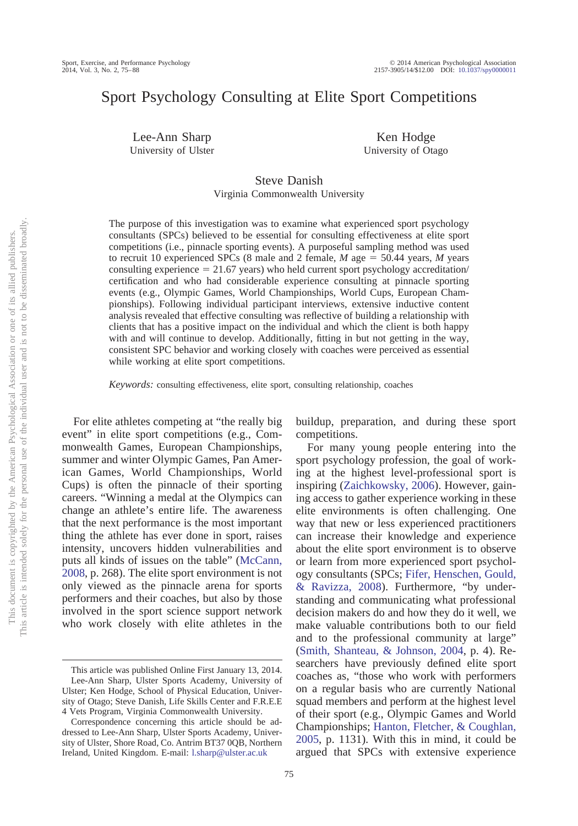# Sport Psychology Consulting at Elite Sport Competitions

Lee-Ann Sharp University of Ulster

Ken Hodge University of Otago

# Steve Danish Virginia Commonwealth University

The purpose of this investigation was to examine what experienced sport psychology consultants (SPCs) believed to be essential for consulting effectiveness at elite sport competitions (i.e., pinnacle sporting events). A purposeful sampling method was used to recruit 10 experienced SPCs  $(8 \text{ male and } 2 \text{ female}, M \text{ age} = 50.44 \text{ years}, M \text{ years})$ consulting experience  $= 21.67$  years) who held current sport psychology accreditation/ certification and who had considerable experience consulting at pinnacle sporting events (e.g., Olympic Games, World Championships, World Cups, European Championships). Following individual participant interviews, extensive inductive content analysis revealed that effective consulting was reflective of building a relationship with clients that has a positive impact on the individual and which the client is both happy with and will continue to develop. Additionally, fitting in but not getting in the way, consistent SPC behavior and working closely with coaches were perceived as essential while working at elite sport competitions.

*Keywords:* consulting effectiveness, elite sport, consulting relationship, coaches

For elite athletes competing at "the really big event" in elite sport competitions (e.g., Commonwealth Games, European Championships, summer and winter Olympic Games, Pan American Games, World Championships, World Cups) is often the pinnacle of their sporting careers. "Winning a medal at the Olympics can change an athlete's entire life. The awareness that the next performance is the most important thing the athlete has ever done in sport, raises intensity, uncovers hidden vulnerabilities and puts all kinds of issues on the table" [\(McCann,](#page-12-0) [2008,](#page-12-0) p. 268). The elite sport environment is not only viewed as the pinnacle arena for sports performers and their coaches, but also by those involved in the sport science support network who work closely with elite athletes in the

buildup, preparation, and during these sport competitions.

For many young people entering into the sport psychology profession, the goal of working at the highest level-professional sport is inspiring [\(Zaichkowsky, 2006\)](#page-13-0). However, gaining access to gather experience working in these elite environments is often challenging. One way that new or less experienced practitioners can increase their knowledge and experience about the elite sport environment is to observe or learn from more experienced sport psychology consultants (SPCs; [Fifer, Henschen, Gould,](#page-12-1) [& Ravizza, 2008\)](#page-12-1). Furthermore, "by understanding and communicating what professional decision makers do and how they do it well, we make valuable contributions both to our field and to the professional community at large" [\(Smith, Shanteau, & Johnson, 2004,](#page-13-1) p. 4). Researchers have previously defined elite sport coaches as, "those who work with performers on a regular basis who are currently National squad members and perform at the highest level of their sport (e.g., Olympic Games and World Championships; [Hanton, Fletcher, & Coughlan,](#page-12-2) [2005,](#page-12-2) p. 1131). With this in mind, it could be argued that SPCs with extensive experience

This article was published Online First January 13, 2014. Lee-Ann Sharp, Ulster Sports Academy, University of Ulster; Ken Hodge, School of Physical Education, University of Otago; Steve Danish, Life Skills Center and F.R.E.E 4 Vets Program, Virginia Commonwealth University.

Correspondence concerning this article should be addressed to Lee-Ann Sharp, Ulster Sports Academy, University of Ulster, Shore Road, Co. Antrim BT37 0QB, Northern Ireland, United Kingdom. E-mail: [l.sharp@ulster.ac.uk](mailto:l.sharp@ulster.ac.uk)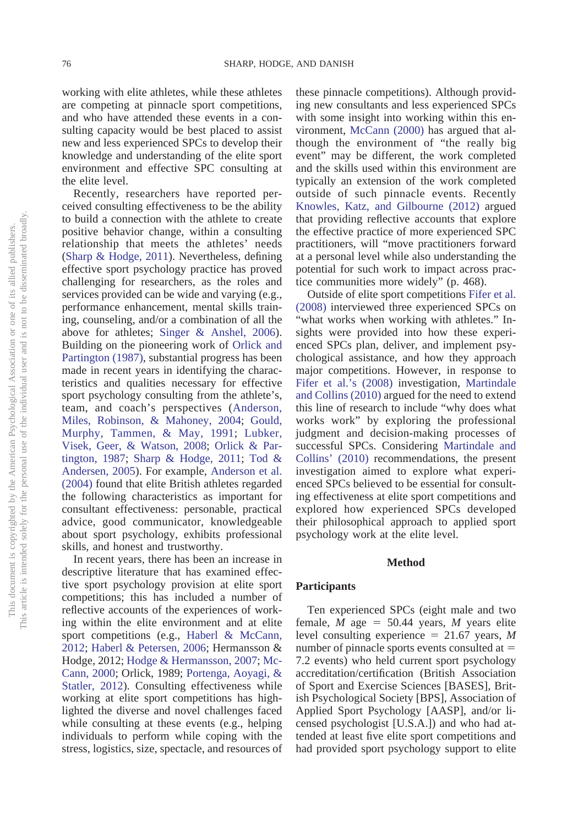working with elite athletes, while these athletes are competing at pinnacle sport competitions, and who have attended these events in a consulting capacity would be best placed to assist new and less experienced SPCs to develop their knowledge and understanding of the elite sport environment and effective SPC consulting at the elite level.

Recently, researchers have reported perceived consulting effectiveness to be the ability to build a connection with the athlete to create positive behavior change, within a consulting relationship that meets the athletes' needs [\(Sharp & Hodge, 2011\)](#page-13-2). Nevertheless, defining effective sport psychology practice has proved challenging for researchers, as the roles and services provided can be wide and varying (e.g., performance enhancement, mental skills training, counseling, and/or a combination of all the above for athletes; [Singer & Anshel, 2006\)](#page-13-3). Building on the pioneering work of [Orlick and](#page-12-3) [Partington \(1987\),](#page-12-3) substantial progress has been made in recent years in identifying the characteristics and qualities necessary for effective sport psychology consulting from the athlete's, team, and coach's perspectives [\(Anderson,](#page-11-0) [Miles, Robinson, & Mahoney, 2004;](#page-11-0) [Gould,](#page-12-4) [Murphy, Tammen, & May, 1991;](#page-12-4) [Lubker,](#page-12-5) [Visek, Geer, & Watson, 2008;](#page-12-5) [Orlick & Par](#page-12-3)[tington, 1987;](#page-12-3) [Sharp & Hodge, 2011;](#page-13-2) [Tod &](#page-13-4) [Andersen, 2005\)](#page-13-4). For example, [Anderson et al.](#page-11-0) [\(2004\)](#page-11-0) found that elite British athletes regarded the following characteristics as important for consultant effectiveness: personable, practical advice, good communicator, knowledgeable about sport psychology, exhibits professional skills, and honest and trustworthy.

In recent years, there has been an increase in descriptive literature that has examined effective sport psychology provision at elite sport competitions; this has included a number of reflective accounts of the experiences of working within the elite environment and at elite sport competitions (e.g., [Haberl & McCann,](#page-12-6) [2012;](#page-12-6) [Haberl & Petersen, 2006;](#page-12-7) Hermansson & Hodge, 2012; [Hodge & Hermansson, 2007;](#page-12-8) [Mc-](#page-12-9)[Cann, 2000;](#page-12-9) Orlick, 1989; [Portenga, Aoyagi, &](#page-13-5) [Statler, 2012\)](#page-13-5). Consulting effectiveness while working at elite sport competitions has highlighted the diverse and novel challenges faced while consulting at these events (e.g., helping individuals to perform while coping with the stress, logistics, size, spectacle, and resources of these pinnacle competitions). Although providing new consultants and less experienced SPCs with some insight into working within this environment, [McCann \(2000\)](#page-12-9) has argued that although the environment of "the really big event" may be different, the work completed and the skills used within this environment are typically an extension of the work completed outside of such pinnacle events. Recently [Knowles, Katz, and Gilbourne \(2012\)](#page-12-10) argued that providing reflective accounts that explore the effective practice of more experienced SPC practitioners, will "move practitioners forward at a personal level while also understanding the potential for such work to impact across practice communities more widely" (p. 468).

Outside of elite sport competitions [Fifer et al.](#page-12-1) [\(2008\)](#page-12-1) interviewed three experienced SPCs on "what works when working with athletes." Insights were provided into how these experienced SPCs plan, deliver, and implement psychological assistance, and how they approach major competitions. However, in response to [Fifer et al.'s \(2008\)](#page-12-1) investigation, [Martindale](#page-12-11) [and Collins \(2010\)](#page-12-11) argued for the need to extend this line of research to include "why does what works work" by exploring the professional judgment and decision-making processes of successful SPCs. Considering [Martindale and](#page-12-11) [Collins' \(2010\)](#page-12-11) recommendations, the present investigation aimed to explore what experienced SPCs believed to be essential for consulting effectiveness at elite sport competitions and explored how experienced SPCs developed their philosophical approach to applied sport psychology work at the elite level.

## **Method**

#### **Participants**

Ten experienced SPCs (eight male and two female,  $M$  age = 50.44 years,  $M$  years elite level consulting experience  $= 21.67$  years, *M* number of pinnacle sports events consulted at  $=$ 7.2 events) who held current sport psychology accreditation/certification (British Association of Sport and Exercise Sciences [BASES], British Psychological Society [BPS], Association of Applied Sport Psychology [AASP], and/or licensed psychologist [U.S.A.]) and who had attended at least five elite sport competitions and had provided sport psychology support to elite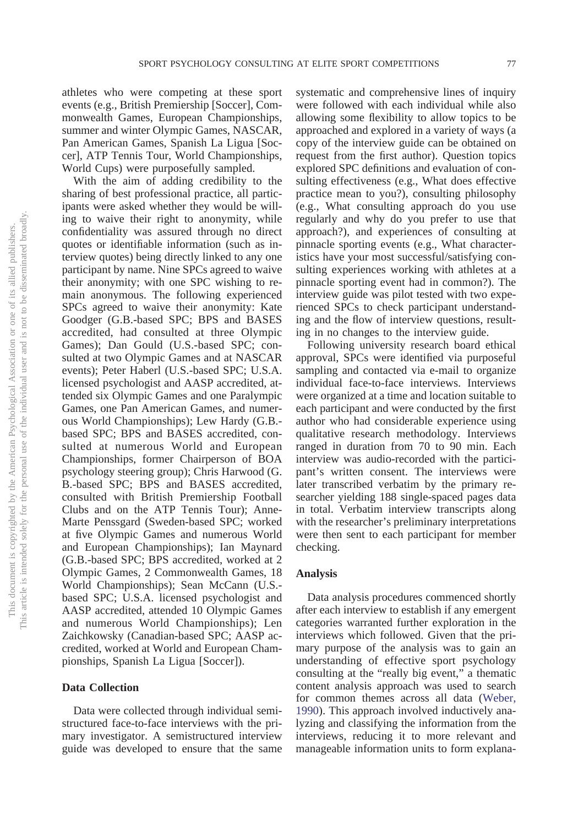athletes who were competing at these sport events (e.g., British Premiership [Soccer], Commonwealth Games, European Championships, summer and winter Olympic Games, NASCAR, Pan American Games, Spanish La Ligua [Soccer], ATP Tennis Tour, World Championships, World Cups) were purposefully sampled.

With the aim of adding credibility to the sharing of best professional practice, all participants were asked whether they would be willing to waive their right to anonymity, while confidentiality was assured through no direct quotes or identifiable information (such as interview quotes) being directly linked to any one participant by name. Nine SPCs agreed to waive their anonymity; with one SPC wishing to remain anonymous. The following experienced SPCs agreed to waive their anonymity: Kate Goodger (G.B.-based SPC; BPS and BASES accredited, had consulted at three Olympic Games); Dan Gould (U.S.-based SPC; consulted at two Olympic Games and at NASCAR events); Peter Haberl (U.S.-based SPC; U.S.A. licensed psychologist and AASP accredited, attended six Olympic Games and one Paralympic Games, one Pan American Games, and numerous World Championships); Lew Hardy (G.B. based SPC; BPS and BASES accredited, consulted at numerous World and European Championships, former Chairperson of BOA psychology steering group); Chris Harwood (G. B.-based SPC; BPS and BASES accredited, consulted with British Premiership Football Clubs and on the ATP Tennis Tour); Anne-Marte Penssgard (Sweden-based SPC; worked at five Olympic Games and numerous World and European Championships); Ian Maynard (G.B.-based SPC; BPS accredited, worked at 2 Olympic Games, 2 Commonwealth Games, 18 World Championships); Sean McCann (U.S. based SPC; U.S.A. licensed psychologist and AASP accredited, attended 10 Olympic Games and numerous World Championships); Len Zaichkowsky (Canadian-based SPC; AASP accredited, worked at World and European Championships, Spanish La Ligua [Soccer]).

## **Data Collection**

Data were collected through individual semistructured face-to-face interviews with the primary investigator. A semistructured interview guide was developed to ensure that the same systematic and comprehensive lines of inquiry were followed with each individual while also allowing some flexibility to allow topics to be approached and explored in a variety of ways (a copy of the interview guide can be obtained on request from the first author). Question topics explored SPC definitions and evaluation of consulting effectiveness (e.g., What does effective practice mean to you?), consulting philosophy (e.g., What consulting approach do you use regularly and why do you prefer to use that approach?), and experiences of consulting at pinnacle sporting events (e.g., What characteristics have your most successful/satisfying consulting experiences working with athletes at a pinnacle sporting event had in common?). The interview guide was pilot tested with two experienced SPCs to check participant understanding and the flow of interview questions, resulting in no changes to the interview guide.

Following university research board ethical approval, SPCs were identified via purposeful sampling and contacted via e-mail to organize individual face-to-face interviews. Interviews were organized at a time and location suitable to each participant and were conducted by the first author who had considerable experience using qualitative research methodology. Interviews ranged in duration from 70 to 90 min. Each interview was audio-recorded with the participant's written consent. The interviews were later transcribed verbatim by the primary researcher yielding 188 single-spaced pages data in total. Verbatim interview transcripts along with the researcher's preliminary interpretations were then sent to each participant for member checking.

## **Analysis**

Data analysis procedures commenced shortly after each interview to establish if any emergent categories warranted further exploration in the interviews which followed. Given that the primary purpose of the analysis was to gain an understanding of effective sport psychology consulting at the "really big event," a thematic content analysis approach was used to search for common themes across all data [\(Weber,](#page-13-6) [1990\)](#page-13-6). This approach involved inductively analyzing and classifying the information from the interviews, reducing it to more relevant and manageable information units to form explana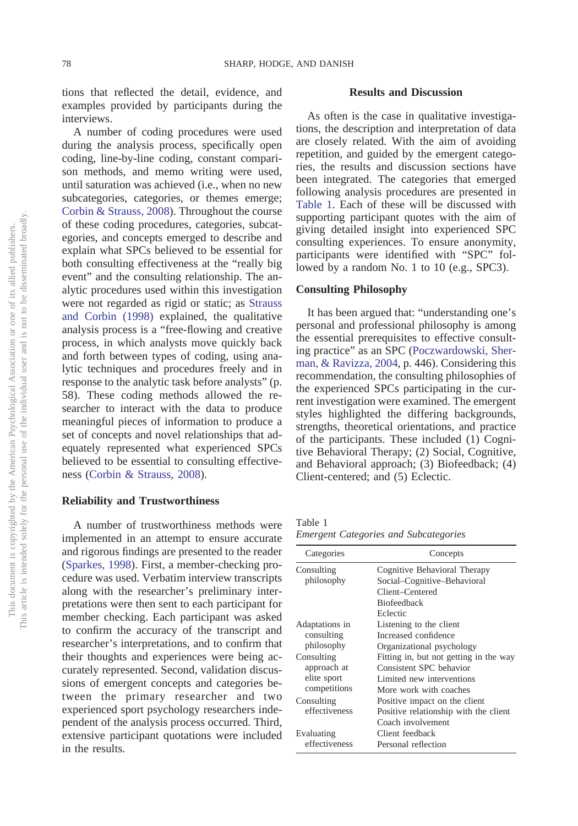tions that reflected the detail, evidence, and examples provided by participants during the interviews.

A number of coding procedures were used during the analysis process, specifically open coding, line-by-line coding, constant comparison methods, and memo writing were used, until saturation was achieved (i.e., when no new subcategories, categories, or themes emerge; [Corbin & Strauss, 2008\)](#page-11-1). Throughout the course of these coding procedures, categories, subcategories, and concepts emerged to describe and explain what SPCs believed to be essential for both consulting effectiveness at the "really big event" and the consulting relationship. The analytic procedures used within this investigation were not regarded as rigid or static; as [Strauss](#page-13-7) [and Corbin \(1998\)](#page-13-7) explained, the qualitative analysis process is a "free-flowing and creative process, in which analysts move quickly back and forth between types of coding, using analytic techniques and procedures freely and in response to the analytic task before analysts" (p. 58). These coding methods allowed the researcher to interact with the data to produce meaningful pieces of information to produce a set of concepts and novel relationships that adequately represented what experienced SPCs believed to be essential to consulting effectiveness [\(Corbin & Strauss, 2008\)](#page-11-1).

## **Reliability and Trustworthiness**

A number of trustworthiness methods were implemented in an attempt to ensure accurate and rigorous findings are presented to the reader [\(Sparkes, 1998\)](#page-13-8). First, a member-checking procedure was used. Verbatim interview transcripts along with the researcher's preliminary interpretations were then sent to each participant for member checking. Each participant was asked to confirm the accuracy of the transcript and researcher's interpretations, and to confirm that their thoughts and experiences were being accurately represented. Second, validation discussions of emergent concepts and categories between the primary researcher and two experienced sport psychology researchers independent of the analysis process occurred. Third, extensive participant quotations were included in the results.

## **Results and Discussion**

As often is the case in qualitative investigations, the description and interpretation of data are closely related. With the aim of avoiding repetition, and guided by the emergent categories, the results and discussion sections have been integrated. The categories that emerged following analysis procedures are presented in [Table 1.](#page-3-0) Each of these will be discussed with supporting participant quotes with the aim of giving detailed insight into experienced SPC consulting experiences. To ensure anonymity, participants were identified with "SPC" followed by a random No. 1 to 10 (e.g., SPC3).

## **Consulting Philosophy**

It has been argued that: "understanding one's personal and professional philosophy is among the essential prerequisites to effective consulting practice" as an SPC [\(Poczwardowski, Sher](#page-13-9)[man, & Ravizza, 2004,](#page-13-9) p. 446). Considering this recommendation, the consulting philosophies of the experienced SPCs participating in the current investigation were examined. The emergent styles highlighted the differing backgrounds, strengths, theoretical orientations, and practice of the participants. These included (1) Cognitive Behavioral Therapy; (2) Social, Cognitive, and Behavioral approach; (3) Biofeedback; (4) Client-centered; and (5) Eclectic.

<span id="page-3-0"></span>Table 1 *Emergent Categories and Subcategories*

| Categories                                                                                                                            | Concepts                                                                                                                                                                                                                                                                           |
|---------------------------------------------------------------------------------------------------------------------------------------|------------------------------------------------------------------------------------------------------------------------------------------------------------------------------------------------------------------------------------------------------------------------------------|
| Consulting<br>philosophy                                                                                                              | Cognitive Behavioral Therapy<br>Social-Cognitive-Behavioral<br>Client-Centered<br><b>Biofeedback</b><br>Eclectic                                                                                                                                                                   |
| Adaptations in<br>consulting<br>philosophy<br>Consulting<br>approach at<br>elite sport<br>competitions<br>Consulting<br>effectiveness | Listening to the client<br>Increased confidence<br>Organizational psychology<br>Fitting in, but not getting in the way<br>Consistent SPC behavior<br>Limited new interventions<br>More work with coaches<br>Positive impact on the client<br>Positive relationship with the client |
| Evaluating<br>effectiveness                                                                                                           | Coach involvement<br>Client feedback<br>Personal reflection                                                                                                                                                                                                                        |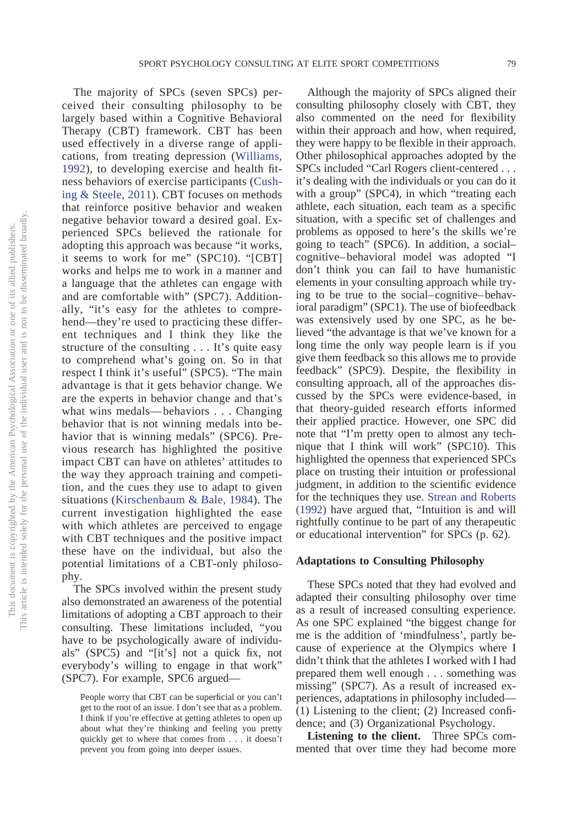The majority of SPCs (seven SPCs) perceived their consulting philosophy to be largely based within a Cognitive Behavioral Therapy (CBT) framework. CBT has been used effectively in a diverse range of applications, from treating depression [\(Williams,](#page-13-10) [1992\)](#page-13-10), to developing exercise and health fitness behaviors of exercise participants [\(Cush](#page-11-2)[ing & Steele, 2011\)](#page-11-2). CBT focuses on methods that reinforce positive behavior and weaken negative behavior toward a desired goal. Experienced SPCs believed the rationale for adopting this approach was because "it works, it seems to work for me" (SPC10). "[CBT] works and helps me to work in a manner and a language that the athletes can engage with and are comfortable with" (SPC7). Additionally, "it's easy for the athletes to comprehend—they're used to practicing these different techniques and I think they like the structure of the consulting... It's quite easy to comprehend what's going on. So in that respect I think it's useful" (SPC5). "The main advantage is that it gets behavior change. We are the experts in behavior change and that's what wins medals—behaviors . . . Changing behavior that is not winning medals into behavior that is winning medals" (SPC6). Previous research has highlighted the positive impact CBT can have on athletes' attitudes to the way they approach training and competition, and the cues they use to adapt to given situations [\(Kirschenbaum & Bale, 1984\)](#page-12-12). The current investigation highlighted the ease with which athletes are perceived to engage with CBT techniques and the positive impact these have on the individual, but also the potential limitations of a CBT-only philosophy.

The SPCs involved within the present study also demonstrated an awareness of the potential limitations of adopting a CBT approach to their consulting. These limitations included, "you have to be psychologically aware of individuals" (SPC5) and "[it's] not a quick fix, not everybody's willing to engage in that work" (SPC7). For example, SPC6 argued—

Although the majority of SPCs aligned their consulting philosophy closely with CBT, they also commented on the need for flexibility within their approach and how, when required, they were happy to be flexible in their approach. Other philosophical approaches adopted by the SPCs included "Carl Rogers client-centered... it's dealing with the individuals or you can do it with a group" (SPC4), in which "treating each athlete, each situation, each team as a specific situation, with a specific set of challenges and problems as opposed to here's the skills we're going to teach" (SPC6). In addition, a social– cognitive– behavioral model was adopted "I don't think you can fail to have humanistic elements in your consulting approach while trying to be true to the social– cognitive– behavioral paradigm" (SPC1). The use of biofeedback was extensively used by one SPC, as he believed "the advantage is that we've known for a long time the only way people learn is if you give them feedback so this allows me to provide feedback" (SPC9). Despite, the flexibility in consulting approach, all of the approaches discussed by the SPCs were evidence-based, in that theory-guided research efforts informed their applied practice. However, one SPC did note that "I'm pretty open to almost any technique that I think will work" (SPC10). This highlighted the openness that experienced SPCs place on trusting their intuition or professional judgment, in addition to the scientific evidence for the techniques they use. [Strean and Roberts](#page-13-11) [\(1992\)](#page-13-11) have argued that, "Intuition is and will rightfully continue to be part of any therapeutic or educational intervention" for SPCs (p. 62).

#### **Adaptations to Consulting Philosophy**

These SPCs noted that they had evolved and adapted their consulting philosophy over time as a result of increased consulting experience. As one SPC explained "the biggest change for me is the addition of 'mindfulness', partly because of experience at the Olympics where I didn't think that the athletes I worked with I had prepared them well enough... something was missing" (SPC7). As a result of increased experiences, adaptations in philosophy included— (1) Listening to the client; (2) Increased confidence; and (3) Organizational Psychology.

**Listening to the client.** Three SPCs commented that over time they had become more

People worry that CBT can be superficial or you can't get to the root of an issue. I don't see that as a problem. I think if you're effective at getting athletes to open up about what they're thinking and feeling you pretty quickly get to where that comes from . . . it doesn't prevent you from going into deeper issues.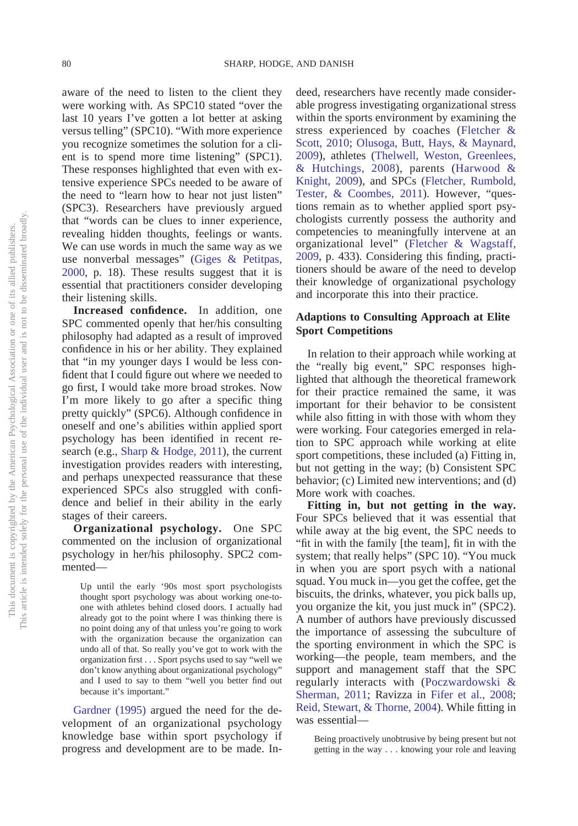aware of the need to listen to the client they were working with. As SPC10 stated "over the last 10 years I've gotten a lot better at asking versus telling" (SPC10). "With more experience you recognize sometimes the solution for a client is to spend more time listening" (SPC1). These responses highlighted that even with extensive experience SPCs needed to be aware of the need to "learn how to hear not just listen" (SPC3). Researchers have previously argued that "words can be clues to inner experience, revealing hidden thoughts, feelings or wants. We can use words in much the same way as we use nonverbal messages" [\(Giges & Petitpas,](#page-12-13) [2000,](#page-12-13) p. 18). These results suggest that it is essential that practitioners consider developing their listening skills.

**Increased confidence.** In addition, one SPC commented openly that her/his consulting philosophy had adapted as a result of improved confidence in his or her ability. They explained that "in my younger days I would be less confident that I could figure out where we needed to go first, I would take more broad strokes. Now I'm more likely to go after a specific thing pretty quickly" (SPC6). Although confidence in oneself and one's abilities within applied sport psychology has been identified in recent research (e.g., [Sharp & Hodge, 2011\)](#page-13-2), the current investigation provides readers with interesting, and perhaps unexpected reassurance that these experienced SPCs also struggled with confidence and belief in their ability in the early stages of their careers.

**Organizational psychology.** One SPC commented on the inclusion of organizational psychology in her/his philosophy. SPC2 commented—

Up until the early '90s most sport psychologists thought sport psychology was about working one-toone with athletes behind closed doors. I actually had already got to the point where I was thinking there is no point doing any of that unless you're going to work with the organization because the organization can undo all of that. So really you've got to work with the organization first... Sport psychs used to say "well we don't know anything about organizational psychology" and I used to say to them "well you better find out because it's important."

[Gardner \(1995\)](#page-12-14) argued the need for the development of an organizational psychology knowledge base within sport psychology if progress and development are to be made. Indeed, researchers have recently made considerable progress investigating organizational stress within the sports environment by examining the stress experienced by coaches [\(Fletcher &](#page-12-15) [Scott, 2010;](#page-12-15) [Olusoga, Butt, Hays, & Maynard,](#page-12-16) [2009\)](#page-12-16), athletes [\(Thelwell, Weston, Greenlees,](#page-13-12) [& Hutchings, 2008\)](#page-13-12), parents [\(Harwood &](#page-12-17) [Knight, 2009\)](#page-12-17), and SPCs [\(Fletcher, Rumbold,](#page-12-18) [Tester, & Coombes, 2011\)](#page-12-18). However, "questions remain as to whether applied sport psychologists currently possess the authority and competencies to meaningfully intervene at an organizational level" [\(Fletcher & Wagstaff,](#page-12-19) [2009,](#page-12-19) p. 433). Considering this finding, practitioners should be aware of the need to develop their knowledge of organizational psychology and incorporate this into their practice.

# **Adaptions to Consulting Approach at Elite Sport Competitions**

In relation to their approach while working at the "really big event," SPC responses highlighted that although the theoretical framework for their practice remained the same, it was important for their behavior to be consistent while also fitting in with those with whom they were working. Four categories emerged in relation to SPC approach while working at elite sport competitions, these included (a) Fitting in, but not getting in the way; (b) Consistent SPC behavior; (c) Limited new interventions; and (d) More work with coaches.

**Fitting in, but not getting in the way.** Four SPCs believed that it was essential that while away at the big event, the SPC needs to "fit in with the family [the team], fit in with the system; that really helps" (SPC 10). "You muck in when you are sport psych with a national squad. You muck in—you get the coffee, get the biscuits, the drinks, whatever, you pick balls up, you organize the kit, you just muck in" (SPC2). A number of authors have previously discussed the importance of assessing the subculture of the sporting environment in which the SPC is working—the people, team members, and the support and management staff that the SPC regularly interacts with [\(Poczwardowski &](#page-12-20) [Sherman, 2011;](#page-12-20) Ravizza in [Fifer et al., 2008;](#page-12-1) [Reid, Stewart, & Thorne, 2004\)](#page-13-13). While fitting in was essential—

Being proactively unobtrusive by being present but not getting in the way... knowing your role and leaving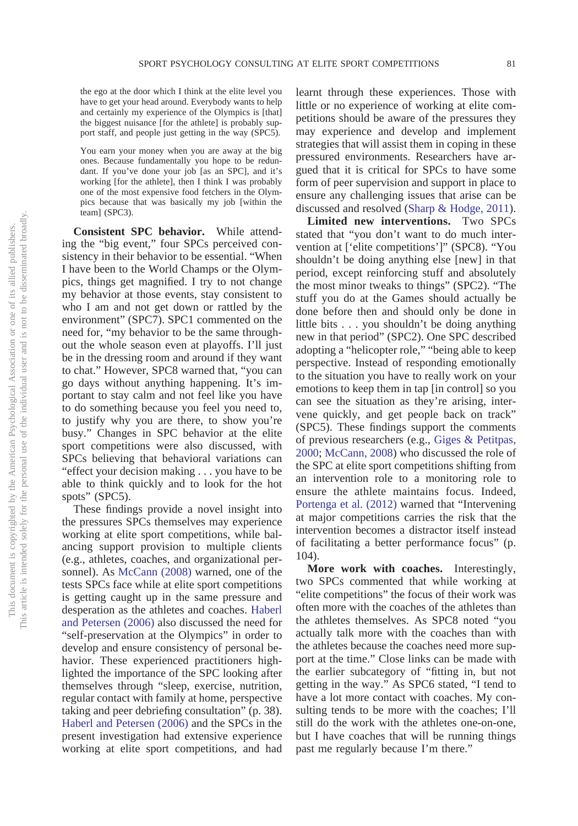the ego at the door which I think at the elite level you have to get your head around. Everybody wants to help and certainly my experience of the Olympics is [that] the biggest nuisance [for the athlete] is probably support staff, and people just getting in the way (SPC5).

You earn your money when you are away at the big ones. Because fundamentally you hope to be redundant. If you've done your job [as an SPC], and it's working [for the athlete], then I think I was probably one of the most expensive food fetchers in the Olympics because that was basically my job [within the team] (SPC3).

**Consistent SPC behavior.** While attending the "big event," four SPCs perceived consistency in their behavior to be essential. "When I have been to the World Champs or the Olympics, things get magnified. I try to not change my behavior at those events, stay consistent to who I am and not get down or rattled by the environment" (SPC7). SPC1 commented on the need for, "my behavior to be the same throughout the whole season even at playoffs. I'll just be in the dressing room and around if they want to chat." However, SPC8 warned that, "you can go days without anything happening. It's important to stay calm and not feel like you have to do something because you feel you need to, to justify why you are there, to show you're busy." Changes in SPC behavior at the elite sport competitions were also discussed, with SPCs believing that behavioral variations can "effect your decision making . . . you have to be able to think quickly and to look for the hot spots" (SPC5).

These findings provide a novel insight into the pressures SPCs themselves may experience working at elite sport competitions, while balancing support provision to multiple clients (e.g., athletes, coaches, and organizational personnel). As [McCann \(2008\)](#page-12-0) warned, one of the tests SPCs face while at elite sport competitions is getting caught up in the same pressure and desperation as the athletes and coaches. [Haberl](#page-12-7) [and Petersen \(2006\)](#page-12-7) also discussed the need for "self-preservation at the Olympics" in order to develop and ensure consistency of personal behavior. These experienced practitioners highlighted the importance of the SPC looking after themselves through "sleep, exercise, nutrition, regular contact with family at home, perspective taking and peer debriefing consultation" (p. 38). [Haberl and Petersen \(2006\)](#page-12-7) and the SPCs in the present investigation had extensive experience working at elite sport competitions, and had learnt through these experiences. Those with little or no experience of working at elite competitions should be aware of the pressures they may experience and develop and implement strategies that will assist them in coping in these pressured environments. Researchers have argued that it is critical for SPCs to have some form of peer supervision and support in place to ensure any challenging issues that arise can be discussed and resolved [\(Sharp & Hodge, 2011\)](#page-13-2).

**Limited new interventions.** Two SPCs stated that "you don't want to do much intervention at ['elite competitions']" (SPC8). "You shouldn't be doing anything else [new] in that period, except reinforcing stuff and absolutely the most minor tweaks to things" (SPC2). "The stuff you do at the Games should actually be done before then and should only be done in little bits . . . you shouldn't be doing anything new in that period" (SPC2). One SPC described adopting a "helicopter role," "being able to keep perspective. Instead of responding emotionally to the situation you have to really work on your emotions to keep them in tap [in control] so you can see the situation as they're arising, intervene quickly, and get people back on track" (SPC5). These findings support the comments of previous researchers (e.g., [Giges & Petitpas,](#page-12-13) [2000;](#page-12-13) [McCann, 2008\)](#page-12-0) who discussed the role of the SPC at elite sport competitions shifting from an intervention role to a monitoring role to ensure the athlete maintains focus. Indeed, [Portenga et al. \(2012\)](#page-13-5) warned that "Intervening at major competitions carries the risk that the intervention becomes a distractor itself instead of facilitating a better performance focus" (p. 104).

**More work with coaches.** Interestingly, two SPCs commented that while working at "elite competitions" the focus of their work was often more with the coaches of the athletes than the athletes themselves. As SPC8 noted "you actually talk more with the coaches than with the athletes because the coaches need more support at the time." Close links can be made with the earlier subcategory of "fitting in, but not getting in the way." As SPC6 stated, "I tend to have a lot more contact with coaches. My consulting tends to be more with the coaches; I'll still do the work with the athletes one-on-one, but I have coaches that will be running things past me regularly because I'm there."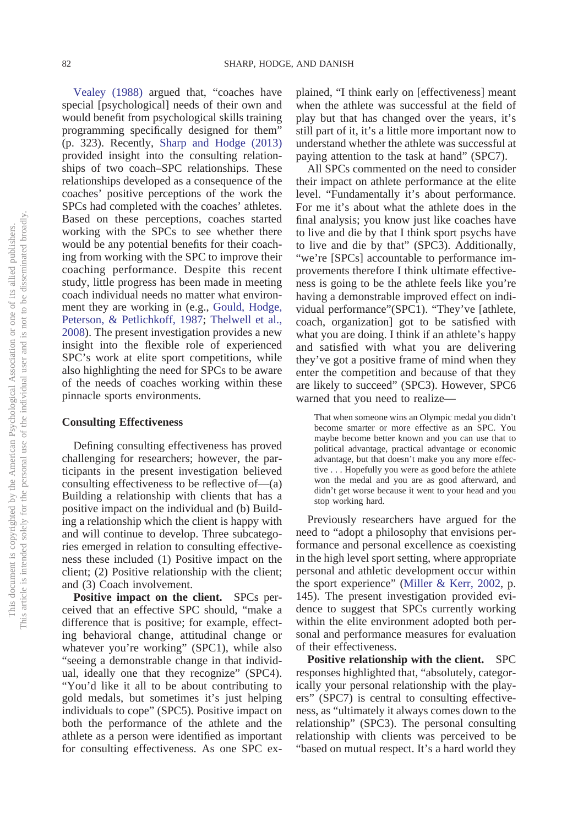[Vealey \(1988\)](#page-13-14) argued that, "coaches have special [psychological] needs of their own and would benefit from psychological skills training programming specifically designed for them" (p. 323). Recently, [Sharp and Hodge \(2013\)](#page-13-15) provided insight into the consulting relationships of two coach–SPC relationships. These relationships developed as a consequence of the coaches' positive perceptions of the work the SPCs had completed with the coaches' athletes. Based on these perceptions, coaches started working with the SPCs to see whether there would be any potential benefits for their coaching from working with the SPC to improve their coaching performance. Despite this recent study, little progress has been made in meeting coach individual needs no matter what environment they are working in (e.g., [Gould, Hodge,](#page-12-21) [Peterson, & Petlichkoff, 1987;](#page-12-21) [Thelwell et al.,](#page-13-12) [2008\)](#page-13-12). The present investigation provides a new insight into the flexible role of experienced SPC's work at elite sport competitions, while also highlighting the need for SPCs to be aware of the needs of coaches working within these pinnacle sports environments.

#### **Consulting Effectiveness**

Defining consulting effectiveness has proved challenging for researchers; however, the participants in the present investigation believed consulting effectiveness to be reflective of—(a) Building a relationship with clients that has a positive impact on the individual and (b) Building a relationship which the client is happy with and will continue to develop. Three subcategories emerged in relation to consulting effectiveness these included (1) Positive impact on the client; (2) Positive relationship with the client; and (3) Coach involvement.

**Positive impact on the client.** SPCs perceived that an effective SPC should, "make a difference that is positive; for example, effecting behavioral change, attitudinal change or whatever you're working" (SPC1), while also "seeing a demonstrable change in that individual, ideally one that they recognize" (SPC4). "You'd like it all to be about contributing to gold medals, but sometimes it's just helping individuals to cope" (SPC5). Positive impact on both the performance of the athlete and the athlete as a person were identified as important for consulting effectiveness. As one SPC explained, "I think early on [effectiveness] meant when the athlete was successful at the field of play but that has changed over the years, it's still part of it, it's a little more important now to understand whether the athlete was successful at paying attention to the task at hand" (SPC7).

All SPCs commented on the need to consider their impact on athlete performance at the elite level. "Fundamentally it's about performance. For me it's about what the athlete does in the final analysis; you know just like coaches have to live and die by that I think sport psychs have to live and die by that" (SPC3). Additionally, "we're [SPCs] accountable to performance improvements therefore I think ultimate effectiveness is going to be the athlete feels like you're having a demonstrable improved effect on individual performance"(SPC1). "They've [athlete, coach, organization] got to be satisfied with what you are doing. I think if an athlete's happy and satisfied with what you are delivering they've got a positive frame of mind when they enter the competition and because of that they are likely to succeed" (SPC3). However, SPC6 warned that you need to realize—

That when someone wins an Olympic medal you didn't become smarter or more effective as an SPC. You maybe become better known and you can use that to political advantage, practical advantage or economic advantage, but that doesn't make you any more effective . . . Hopefully you were as good before the athlete won the medal and you are as good afterward, and didn't get worse because it went to your head and you stop working hard.

Previously researchers have argued for the need to "adopt a philosophy that envisions performance and personal excellence as coexisting in the high level sport setting, where appropriate personal and athletic development occur within the sport experience" [\(Miller & Kerr, 2002,](#page-12-22) p. 145). The present investigation provided evidence to suggest that SPCs currently working within the elite environment adopted both personal and performance measures for evaluation of their effectiveness.

**Positive relationship with the client.** SPC responses highlighted that, "absolutely, categorically your personal relationship with the players" (SPC7) is central to consulting effectiveness, as "ultimately it always comes down to the relationship" (SPC3). The personal consulting relationship with clients was perceived to be "based on mutual respect. It's a hard world they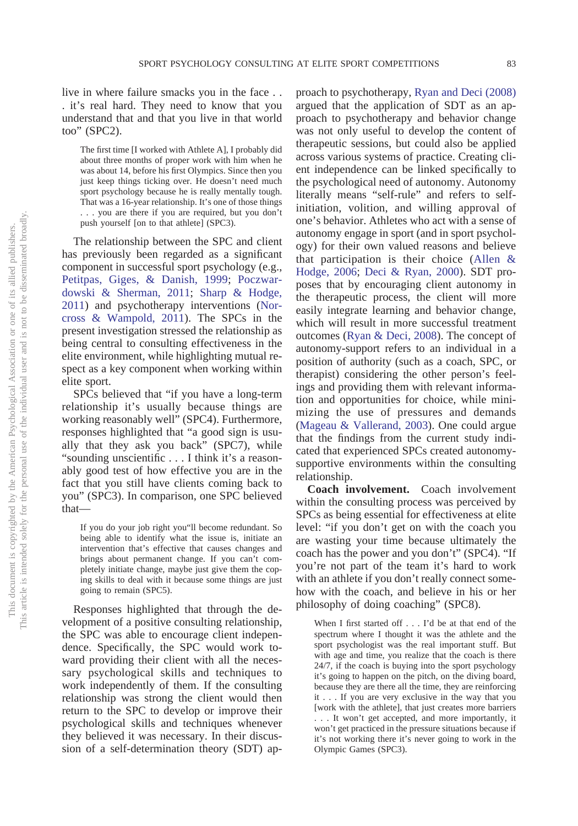live in where failure smacks you in the face . . . it's real hard. They need to know that you understand that and that you live in that world too" (SPC2).

The first time [I worked with Athlete A], I probably did about three months of proper work with him when he was about 14, before his first Olympics. Since then you just keep things ticking over. He doesn't need much sport psychology because he is really mentally tough. That was a 16-year relationship. It's one of those things . . . you are there if you are required, but you don't push yourself [on to that athlete] (SPC3).

The relationship between the SPC and client has previously been regarded as a significant component in successful sport psychology (e.g., [Petitpas, Giges, & Danish, 1999;](#page-12-23) [Poczwar](#page-12-20)[dowski & Sherman, 2011;](#page-12-20) [Sharp & Hodge,](#page-13-2) [2011\)](#page-13-2) and psychotherapy interventions [\(Nor](#page-12-24)[cross & Wampold, 2011\)](#page-12-24). The SPCs in the present investigation stressed the relationship as being central to consulting effectiveness in the elite environment, while highlighting mutual respect as a key component when working within elite sport.

SPCs believed that "if you have a long-term relationship it's usually because things are working reasonably well" (SPC4). Furthermore, responses highlighted that "a good sign is usually that they ask you back" (SPC7), while "sounding unscientific...I think it's a reasonably good test of how effective you are in the fact that you still have clients coming back to you" (SPC3). In comparison, one SPC believed that—

If you do your job right you"ll become redundant. So being able to identify what the issue is, initiate an intervention that's effective that causes changes and brings about permanent change. If you can't completely initiate change, maybe just give them the coping skills to deal with it because some things are just going to remain (SPC5).

Responses highlighted that through the development of a positive consulting relationship, the SPC was able to encourage client independence. Specifically, the SPC would work toward providing their client with all the necessary psychological skills and techniques to work independently of them. If the consulting relationship was strong the client would then return to the SPC to develop or improve their psychological skills and techniques whenever they believed it was necessary. In their discussion of a self-determination theory (SDT) ap-

proach to psychotherapy, [Ryan and Deci \(2008\)](#page-13-16) argued that the application of SDT as an approach to psychotherapy and behavior change was not only useful to develop the content of therapeutic sessions, but could also be applied across various systems of practice. Creating client independence can be linked specifically to the psychological need of autonomy. Autonomy literally means "self-rule" and refers to selfinitiation, volition, and willing approval of one's behavior. Athletes who act with a sense of autonomy engage in sport (and in sport psychology) for their own valued reasons and believe that participation is their choice [\(Allen &](#page-11-3) [Hodge, 2006;](#page-11-3) [Deci & Ryan, 2000\)](#page-11-4). SDT proposes that by encouraging client autonomy in the therapeutic process, the client will more easily integrate learning and behavior change, which will result in more successful treatment outcomes [\(Ryan & Deci, 2008\)](#page-13-16). The concept of autonomy-support refers to an individual in a position of authority (such as a coach, SPC, or therapist) considering the other person's feelings and providing them with relevant information and opportunities for choice, while minimizing the use of pressures and demands [\(Mageau & Vallerand, 2003\)](#page-12-25). One could argue that the findings from the current study indicated that experienced SPCs created autonomysupportive environments within the consulting relationship.

**Coach involvement.** Coach involvement within the consulting process was perceived by SPCs as being essential for effectiveness at elite level: "if you don't get on with the coach you are wasting your time because ultimately the coach has the power and you don't" (SPC4). "If you're not part of the team it's hard to work with an athlete if you don't really connect somehow with the coach, and believe in his or her philosophy of doing coaching" (SPC8).

When I first started off . . . I'd be at that end of the spectrum where I thought it was the athlete and the sport psychologist was the real important stuff. But with age and time, you realize that the coach is there 24/7, if the coach is buying into the sport psychology it's going to happen on the pitch, on the diving board, because they are there all the time, they are reinforcing it . . . If you are very exclusive in the way that you [work with the athlete], that just creates more barriers . . . It won't get accepted, and more importantly, it won't get practiced in the pressure situations because if it's not working there it's never going to work in the Olympic Games (SPC3).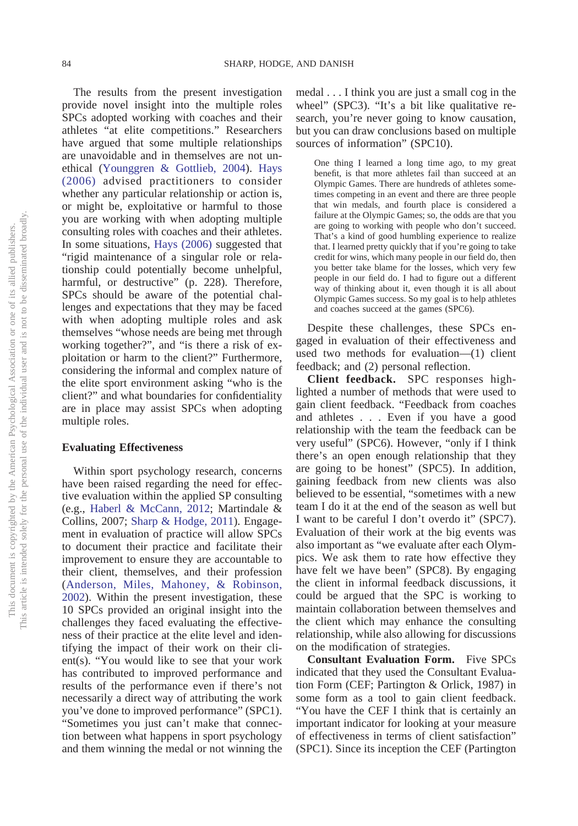The results from the present investigation provide novel insight into the multiple roles SPCs adopted working with coaches and their athletes "at elite competitions." Researchers have argued that some multiple relationships are unavoidable and in themselves are not unethical [\(Younggren & Gottlieb, 2004\)](#page-13-17). [Hays](#page-12-26) [\(2006\)](#page-12-26) advised practitioners to consider whether any particular relationship or action is, or might be, exploitative or harmful to those you are working with when adopting multiple consulting roles with coaches and their athletes. In some situations, [Hays \(2006\)](#page-12-26) suggested that "rigid maintenance of a singular role or relationship could potentially become unhelpful, harmful, or destructive" (p. 228). Therefore, SPCs should be aware of the potential challenges and expectations that they may be faced with when adopting multiple roles and ask themselves "whose needs are being met through working together?", and "is there a risk of exploitation or harm to the client?" Furthermore, considering the informal and complex nature of the elite sport environment asking "who is the client?" and what boundaries for confidentiality are in place may assist SPCs when adopting multiple roles.

#### **Evaluating Effectiveness**

Within sport psychology research, concerns have been raised regarding the need for effective evaluation within the applied SP consulting (e.g., [Haberl & McCann, 2012;](#page-12-6) Martindale & Collins, 2007; [Sharp & Hodge, 2011\)](#page-13-2). Engagement in evaluation of practice will allow SPCs to document their practice and facilitate their improvement to ensure they are accountable to their client, themselves, and their profession [\(Anderson, Miles, Mahoney, & Robinson,](#page-11-5) [2002\)](#page-11-5). Within the present investigation, these 10 SPCs provided an original insight into the challenges they faced evaluating the effectiveness of their practice at the elite level and identifying the impact of their work on their client(s). "You would like to see that your work has contributed to improved performance and results of the performance even if there's not necessarily a direct way of attributing the work you've done to improved performance" (SPC1). "Sometimes you just can't make that connection between what happens in sport psychology and them winning the medal or not winning the

medal . . . I think you are just a small cog in the wheel" (SPC3). "It's a bit like qualitative research, you're never going to know causation, but you can draw conclusions based on multiple sources of information" (SPC10).

One thing I learned a long time ago, to my great benefit, is that more athletes fail than succeed at an Olympic Games. There are hundreds of athletes sometimes competing in an event and there are three people that win medals, and fourth place is considered a failure at the Olympic Games; so, the odds are that you are going to working with people who don't succeed. That's a kind of good humbling experience to realize that. I learned pretty quickly that if you're going to take credit for wins, which many people in our field do, then you better take blame for the losses, which very few people in our field do. I had to figure out a different way of thinking about it, even though it is all about Olympic Games success. So my goal is to help athletes and coaches succeed at the games (SPC6).

Despite these challenges, these SPCs engaged in evaluation of their effectiveness and used two methods for evaluation—(1) client feedback; and (2) personal reflection.

**Client feedback.** SPC responses highlighted a number of methods that were used to gain client feedback. "Feedback from coaches and athletes . . . Even if you have a good relationship with the team the feedback can be very useful" (SPC6). However, "only if I think there's an open enough relationship that they are going to be honest" (SPC5). In addition, gaining feedback from new clients was also believed to be essential, "sometimes with a new team I do it at the end of the season as well but I want to be careful I don't overdo it" (SPC7). Evaluation of their work at the big events was also important as "we evaluate after each Olympics. We ask them to rate how effective they have felt we have been" (SPC8). By engaging the client in informal feedback discussions, it could be argued that the SPC is working to maintain collaboration between themselves and the client which may enhance the consulting relationship, while also allowing for discussions on the modification of strategies.

**Consultant Evaluation Form.** Five SPCs indicated that they used the Consultant Evaluation Form (CEF; Partington & Orlick, 1987) in some form as a tool to gain client feedback. "You have the CEF I think that is certainly an important indicator for looking at your measure of effectiveness in terms of client satisfaction" (SPC1). Since its inception the CEF (Partington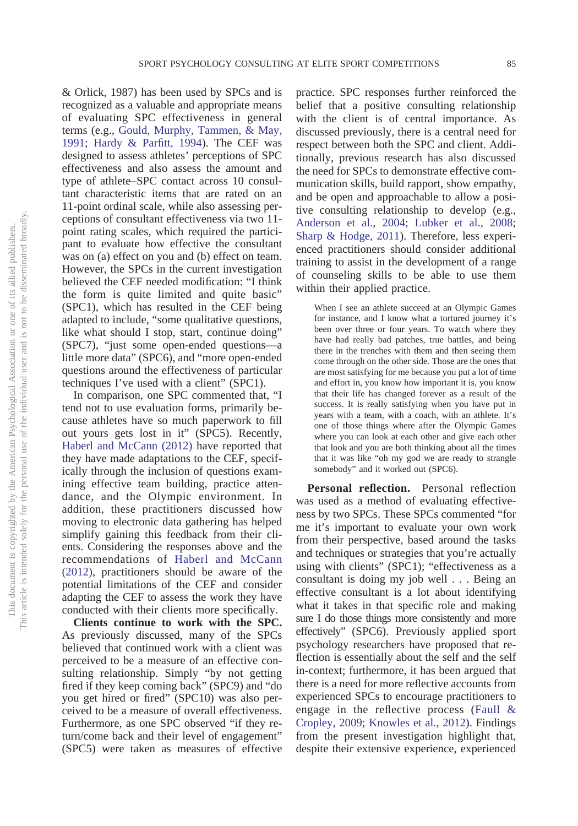& Orlick, 1987) has been used by SPCs and is recognized as a valuable and appropriate means of evaluating SPC effectiveness in general terms (e.g., [Gould, Murphy, Tammen, & May,](#page-12-4) [1991;](#page-12-4) [Hardy & Parfitt, 1994\)](#page-12-27). The CEF was designed to assess athletes' perceptions of SPC effectiveness and also assess the amount and type of athlete–SPC contact across 10 consultant characteristic items that are rated on an 11-point ordinal scale, while also assessing perceptions of consultant effectiveness via two 11 point rating scales, which required the participant to evaluate how effective the consultant was on (a) effect on you and (b) effect on team. However, the SPCs in the current investigation believed the CEF needed modification: "I think the form is quite limited and quite basic" (SPC1), which has resulted in the CEF being adapted to include, "some qualitative questions, like what should I stop, start, continue doing" (SPC7), "just some open-ended questions—a little more data" (SPC6), and "more open-ended questions around the effectiveness of particular techniques I've used with a client" (SPC1).

In comparison, one SPC commented that, "I tend not to use evaluation forms, primarily because athletes have so much paperwork to fill out yours gets lost in it" (SPC5). Recently, [Haberl and McCann \(2012\)](#page-12-6) have reported that they have made adaptations to the CEF, specifically through the inclusion of questions examining effective team building, practice attendance, and the Olympic environment. In addition, these practitioners discussed how moving to electronic data gathering has helped simplify gaining this feedback from their clients. Considering the responses above and the recommendations of [Haberl and McCann](#page-12-6) [\(2012\),](#page-12-6) practitioners should be aware of the potential limitations of the CEF and consider adapting the CEF to assess the work they have conducted with their clients more specifically.

**Clients continue to work with the SPC.** As previously discussed, many of the SPCs believed that continued work with a client was perceived to be a measure of an effective consulting relationship. Simply "by not getting fired if they keep coming back" (SPC9) and "do you get hired or fired" (SPC10) was also perceived to be a measure of overall effectiveness. Furthermore, as one SPC observed "if they return/come back and their level of engagement" (SPC5) were taken as measures of effective

practice. SPC responses further reinforced the belief that a positive consulting relationship with the client is of central importance. As discussed previously, there is a central need for respect between both the SPC and client. Additionally, previous research has also discussed the need for SPCs to demonstrate effective communication skills, build rapport, show empathy, and be open and approachable to allow a positive consulting relationship to develop (e.g., [Anderson et al., 2004;](#page-11-0) [Lubker et al., 2008;](#page-12-5) [Sharp & Hodge, 2011\)](#page-13-2). Therefore, less experienced practitioners should consider additional training to assist in the development of a range of counseling skills to be able to use them within their applied practice.

When I see an athlete succeed at an Olympic Games for instance, and I know what a tortured journey it's been over three or four years. To watch where they have had really bad patches, true battles, and being there in the trenches with them and then seeing them come through on the other side. Those are the ones that are most satisfying for me because you put a lot of time and effort in, you know how important it is, you know that their life has changed forever as a result of the success. It is really satisfying when you have put in years with a team, with a coach, with an athlete. It's one of those things where after the Olympic Games where you can look at each other and give each other that look and you are both thinking about all the times that it was like "oh my god we are ready to strangle somebody" and it worked out (SPC6).

**Personal reflection.** Personal reflection was used as a method of evaluating effectiveness by two SPCs. These SPCs commented "for me it's important to evaluate your own work from their perspective, based around the tasks and techniques or strategies that you're actually using with clients" (SPC1); "effectiveness as a consultant is doing my job well... Being an effective consultant is a lot about identifying what it takes in that specific role and making sure I do those things more consistently and more effectively" (SPC6). Previously applied sport psychology researchers have proposed that reflection is essentially about the self and the self in-context; furthermore, it has been argued that there is a need for more reflective accounts from experienced SPCs to encourage practitioners to engage in the reflective process [\(Faull &](#page-11-6) [Cropley, 2009;](#page-11-6) [Knowles et al., 2012\)](#page-12-10). Findings from the present investigation highlight that, despite their extensive experience, experienced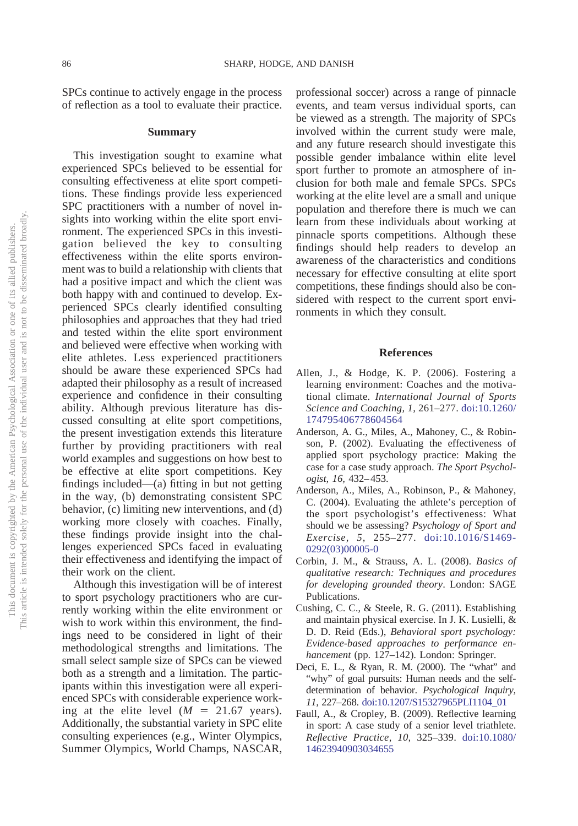SPCs continue to actively engage in the process of reflection as a tool to evaluate their practice.

## **Summary**

This investigation sought to examine what experienced SPCs believed to be essential for consulting effectiveness at elite sport competitions. These findings provide less experienced SPC practitioners with a number of novel insights into working within the elite sport environment. The experienced SPCs in this investigation believed the key to consulting effectiveness within the elite sports environment was to build a relationship with clients that had a positive impact and which the client was both happy with and continued to develop. Experienced SPCs clearly identified consulting philosophies and approaches that they had tried and tested within the elite sport environment and believed were effective when working with elite athletes. Less experienced practitioners should be aware these experienced SPCs had adapted their philosophy as a result of increased experience and confidence in their consulting ability. Although previous literature has discussed consulting at elite sport competitions, the present investigation extends this literature further by providing practitioners with real world examples and suggestions on how best to be effective at elite sport competitions. Key findings included—(a) fitting in but not getting in the way, (b) demonstrating consistent SPC behavior, (c) limiting new interventions, and (d) working more closely with coaches. Finally, these findings provide insight into the challenges experienced SPCs faced in evaluating their effectiveness and identifying the impact of their work on the client.

Although this investigation will be of interest to sport psychology practitioners who are currently working within the elite environment or wish to work within this environment, the findings need to be considered in light of their methodological strengths and limitations. The small select sample size of SPCs can be viewed both as a strength and a limitation. The participants within this investigation were all experienced SPCs with considerable experience working at the elite level  $(M = 21.67 \text{ years}).$ Additionally, the substantial variety in SPC elite consulting experiences (e.g., Winter Olympics, Summer Olympics, World Champs, NASCAR,

professional soccer) across a range of pinnacle events, and team versus individual sports, can be viewed as a strength. The majority of SPCs involved within the current study were male, and any future research should investigate this possible gender imbalance within elite level sport further to promote an atmosphere of inclusion for both male and female SPCs. SPCs working at the elite level are a small and unique population and therefore there is much we can learn from these individuals about working at pinnacle sports competitions. Although these findings should help readers to develop an awareness of the characteristics and conditions necessary for effective consulting at elite sport competitions, these findings should also be considered with respect to the current sport environments in which they consult.

## **References**

- <span id="page-11-3"></span>Allen, J., & Hodge, K. P. (2006). Fostering a learning environment: Coaches and the motivational climate. *International Journal of Sports Science and Coaching, 1,* 261–277. [doi:10.1260/](http://dx.doi.org/10.1260/174795406778604564) [174795406778604564](http://dx.doi.org/10.1260/174795406778604564)
- <span id="page-11-5"></span>Anderson, A. G., Miles, A., Mahoney, C., & Robinson, P. (2002). Evaluating the effectiveness of applied sport psychology practice: Making the case for a case study approach. *The Sport Psychologist, 16,* 432– 453.
- <span id="page-11-0"></span>Anderson, A., Miles, A., Robinson, P., & Mahoney, C. (2004). Evaluating the athlete's perception of the sport psychologist's effectiveness: What should we be assessing? *Psychology of Sport and Exercise, 5,* 255–277. [doi:10.1016/S1469-](http://dx.doi.org/10.1016/S1469-0292%2803%2900005-0) [0292\(03\)00005-0](http://dx.doi.org/10.1016/S1469-0292%2803%2900005-0)
- <span id="page-11-1"></span>Corbin, J. M., & Strauss, A. L. (2008). *Basics of qualitative research: Techniques and procedures for developing grounded theory*. London: SAGE Publications.
- <span id="page-11-2"></span>Cushing, C. C., & Steele, R. G. (2011). Establishing and maintain physical exercise. In J. K. Lusielli, & D. D. Reid (Eds.), *Behavioral sport psychology: Evidence-based approaches to performance enhancement* (pp. 127–142). London: Springer.
- <span id="page-11-4"></span>Deci, E. L., & Ryan, R. M. (2000). The "what" and "why" of goal pursuits: Human needs and the selfdetermination of behavior. *Psychological Inquiry, 11,* 227–268. [doi:10.1207/S15327965PLI1104\\_01](http://dx.doi.org/10.1207/S15327965PLI1104_01)
- <span id="page-11-6"></span>Faull, A., & Cropley, B. (2009). Reflective learning in sport: A case study of a senior level triathlete. *Reflective Practice, 10,* 325–339. [doi:10.1080/](http://dx.doi.org/10.1080/14623940903034655) [14623940903034655](http://dx.doi.org/10.1080/14623940903034655)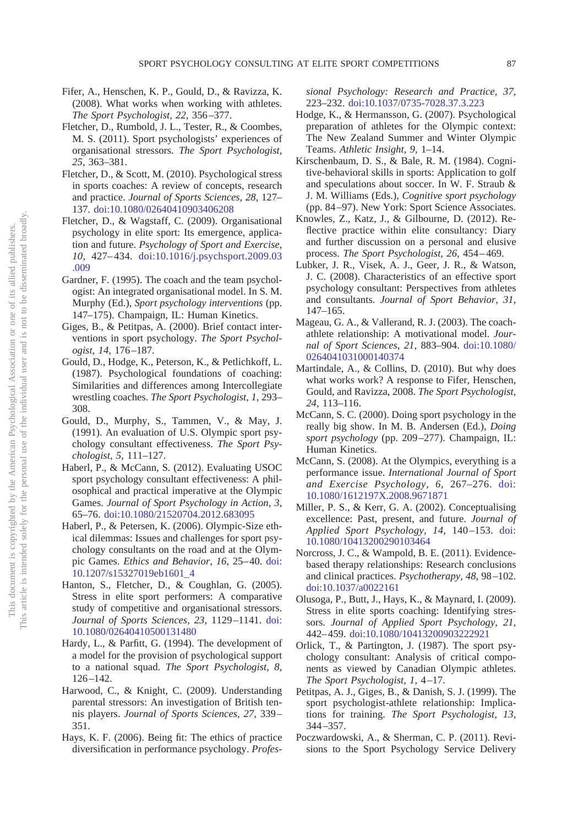- <span id="page-12-1"></span>Fifer, A., Henschen, K. P., Gould, D., & Ravizza, K. (2008). What works when working with athletes. *The Sport Psychologist, 22,* 356 –377.
- <span id="page-12-18"></span>Fletcher, D., Rumbold, J. L., Tester, R., & Coombes, M. S. (2011). Sport psychologists' experiences of organisational stressors. *The Sport Psychologist, 25,* 363–381.
- <span id="page-12-15"></span>Fletcher, D., & Scott, M. (2010). Psychological stress in sports coaches: A review of concepts, research and practice. *Journal of Sports Sciences, 28,* 127– 137. [doi:10.1080/02640410903406208](http://dx.doi.org/10.1080/02640410903406208)
- <span id="page-12-19"></span>Fletcher, D., & Wagstaff, C. (2009). Organisational psychology in elite sport: Its emergence, application and future. *Psychology of Sport and Exercise, 10,* 427– 434. [doi:10.1016/j.psychsport.2009.03](http://dx.doi.org/10.1016/j.psychsport.2009.03.009) [.009](http://dx.doi.org/10.1016/j.psychsport.2009.03.009)
- <span id="page-12-14"></span>Gardner, F. (1995). The coach and the team psychologist: An integrated organisational model. In S. M. Murphy (Ed.), *Sport psychology interventions* (pp. 147–175). Champaign, IL: Human Kinetics.
- <span id="page-12-13"></span>Giges, B., & Petitpas, A. (2000). Brief contact interventions in sport psychology. *The Sport Psychologist, 14,* 176 –187.
- <span id="page-12-21"></span>Gould, D., Hodge, K., Peterson, K., & Petlichkoff, L. (1987). Psychological foundations of coaching: Similarities and differences among Intercollegiate wrestling coaches. *The Sport Psychologist, 1,* 293– 308.
- <span id="page-12-4"></span>Gould, D., Murphy, S., Tammen, V., & May, J. (1991). An evaluation of U.S. Olympic sport psychology consultant effectiveness. *The Sport Psychologist, 5,* 111–127.
- <span id="page-12-6"></span>Haberl, P., & McCann, S. (2012). Evaluating USOC sport psychology consultant effectiveness: A philosophical and practical imperative at the Olympic Games. *Journal of Sport Psychology in Action, 3,* 65–76. [doi:10.1080/21520704.2012.683095](http://dx.doi.org/10.1080/21520704.2012.683095)
- <span id="page-12-7"></span>Haberl, P., & Petersen, K. (2006). Olympic-Size ethical dilemmas: Issues and challenges for sport psychology consultants on the road and at the Olympic Games. *Ethics and Behavior, 16,* 25– 40. [doi:](http://dx.doi.org/10.1207/s15327019eb1601_4) [10.1207/s15327019eb1601\\_4](http://dx.doi.org/10.1207/s15327019eb1601_4)
- <span id="page-12-2"></span>Hanton, S., Fletcher, D., & Coughlan, G. (2005). Stress in elite sport performers: A comparative study of competitive and organisational stressors. *Journal of Sports Sciences, 23,* 1129 –1141. [doi:](http://dx.doi.org/10.1080/02640410500131480) [10.1080/02640410500131480](http://dx.doi.org/10.1080/02640410500131480)
- <span id="page-12-27"></span>Hardy, L., & Parfitt, G. (1994). The development of a model for the provision of psychological support to a national squad. *The Sport Psychologist, 8,* 126 –142.
- <span id="page-12-17"></span>Harwood, C., & Knight, C. (2009). Understanding parental stressors: An investigation of British tennis players. *Journal of Sports Sciences, 27,* 339 – 351.
- <span id="page-12-26"></span>Hays, K. F. (2006). Being fit: The ethics of practice diversification in performance psychology. *Profes-*

*sional Psychology: Research and Practice, 37,* 223–232. [doi:10.1037/0735-7028.37.3.223](http://dx.doi.org/10.1037/0735-7028.37.3.223)

- <span id="page-12-8"></span>Hodge, K., & Hermansson, G. (2007). Psychological preparation of athletes for the Olympic context: The New Zealand Summer and Winter Olympic Teams. *Athletic Insight, 9,* 1–14.
- <span id="page-12-12"></span>Kirschenbaum, D. S., & Bale, R. M. (1984). Cognitive-behavioral skills in sports: Application to golf and speculations about soccer. In W. F. Straub & J. M. Williams (Eds.), *Cognitive sport psychology* (pp. 84 –97). New York: Sport Science Associates.
- <span id="page-12-10"></span>Knowles, Z., Katz, J., & Gilbourne, D. (2012). Reflective practice within elite consultancy: Diary and further discussion on a personal and elusive process. *The Sport Psychologist, 26,* 454 – 469.
- <span id="page-12-5"></span>Lubker, J. R., Visek, A. J., Geer, J. R., & Watson, J. C. (2008). Characteristics of an effective sport psychology consultant: Perspectives from athletes and consultants. *Journal of Sport Behavior, 31,* 147–165.
- <span id="page-12-25"></span>Mageau, G. A., & Vallerand, R. J. (2003). The coachathlete relationship: A motivational model. *Journal of Sport Sciences, 21,* 883–904. [doi:10.1080/](http://dx.doi.org/10.1080/0264041031000140374) [0264041031000140374](http://dx.doi.org/10.1080/0264041031000140374)
- <span id="page-12-11"></span>Martindale, A., & Collins, D. (2010). But why does what works work? A response to Fifer, Henschen, Gould, and Ravizza, 2008. *The Sport Psychologist, 24,* 113–116.
- <span id="page-12-9"></span>McCann, S. C. (2000). Doing sport psychology in the really big show. In M. B. Andersen (Ed.), *Doing sport psychology* (pp. 209 –277). Champaign, IL: Human Kinetics.
- <span id="page-12-0"></span>McCann, S. (2008). At the Olympics, everything is a performance issue. *International Journal of Sport and Exercise Psychology, 6,* 267–276. [doi:](http://dx.doi.org/10.1080/1612197X.2008.9671871) [10.1080/1612197X.2008.9671871](http://dx.doi.org/10.1080/1612197X.2008.9671871)
- <span id="page-12-22"></span>Miller, P. S., & Kerr, G. A. (2002). Conceptualising excellence: Past, present, and future. *Journal of Applied Sport Psychology, 14,* 140 –153. [doi:](http://dx.doi.org/10.1080/10413200290103464) [10.1080/10413200290103464](http://dx.doi.org/10.1080/10413200290103464)
- <span id="page-12-24"></span>Norcross, J. C., & Wampold, B. E. (2011). Evidencebased therapy relationships: Research conclusions and clinical practices. *Psychotherapy, 48,* 98 –102. [doi:10.1037/a0022161](http://dx.doi.org/10.1037/a0022161)
- <span id="page-12-16"></span>Olusoga, P., Butt, J., Hays, K., & Maynard, I. (2009). Stress in elite sports coaching: Identifying stressors. *Journal of Applied Sport Psychology, 21,* 442– 459. [doi:10.1080/10413200903222921](http://dx.doi.org/10.1080/10413200903222921)
- <span id="page-12-3"></span>Orlick, T., & Partington, J. (1987). The sport psychology consultant: Analysis of critical components as viewed by Canadian Olympic athletes. *The Sport Psychologist, 1,* 4 –17.
- <span id="page-12-23"></span>Petitpas, A. J., Giges, B., & Danish, S. J. (1999). The sport psychologist-athlete relationship: Implications for training. *The Sport Psychologist, 13,* 344 –357.
- <span id="page-12-20"></span>Poczwardowski, A., & Sherman, C. P. (2011). Revisions to the Sport Psychology Service Delivery